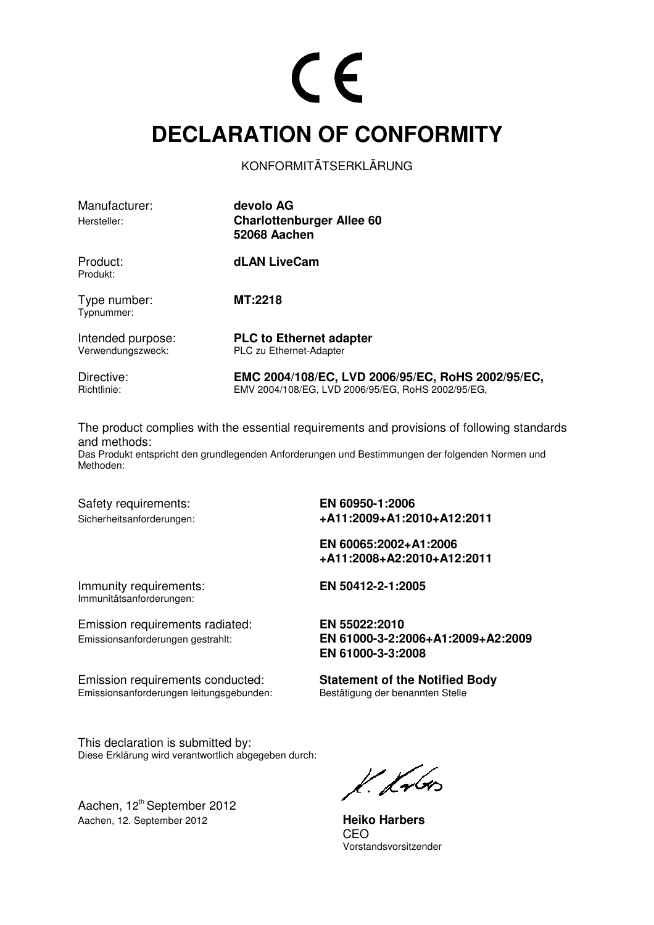#### **DECLARATION OF CONFORMITY**

KONFORMITÄTSERKLÄRUNG

| Manufacturer:<br>Hersteller:           | devolo AG<br><b>Charlottenburger Allee 60</b><br><b>52068 Aachen</b>                                   |
|----------------------------------------|--------------------------------------------------------------------------------------------------------|
| Product:<br>Produkt:                   | dLAN LiveCam                                                                                           |
| Type number:<br>Typnummer:             | <b>MT:2218</b>                                                                                         |
| Intended purpose:<br>Verwendungszweck: | <b>PLC to Ethernet adapter</b><br>PLC zu Ethernet-Adapter                                              |
| Directive:<br>Richtlinie:              | EMC 2004/108/EC, LVD 2006/95/EC, RoHS 2002/95/EC,<br>EMV 2004/108/EG, LVD 2006/95/EG, RoHS 2002/95/EG, |

The product complies with the essential requirements and provisions of following standards and methods:

Das Produkt entspricht den grundlegenden Anforderungen und Bestimmungen der folgenden Normen und Methoden:

Safety requirements: **EN 60950-1:2006** 

Sicherheitsanforderungen: **+A11:2009+A1:2010+A12:2011** 

 **EN 60065:2002+A1:2006 +A11:2008+A2:2010+A12:2011** 

Immunity requirements: **EN 50412-2-1:2005**  Immunitätsanforderungen:

Emission requirements radiated: **EN 55022:2010**

Emission requirements conducted:<br> **Statement of the Notified Body**<br> **Emissionsanforderungen leitungsgebunden:**<br>
Bestätigung der benannten Stelle Emissionsanforderungen leitungsgebunden:

This declaration is submitted by: Diese Erklärung wird verantwortlich abgegeben durch:

Aachen, 12<sup>th</sup> September 2012 Aachen, 12. September 2012 **Heiko Harbers**

Emissionsanforderungen gestrahlt: **EN 61000-3-2:2006+A1:2009+A2:2009 EN 61000-3-3:2008** 

K. Krbes

<u>CEO de la contrada de la ciencia de la ciencia de la ciencia de la ciencia de la ciencia de la ciencia de la c</u> Vorstandsvorsitzender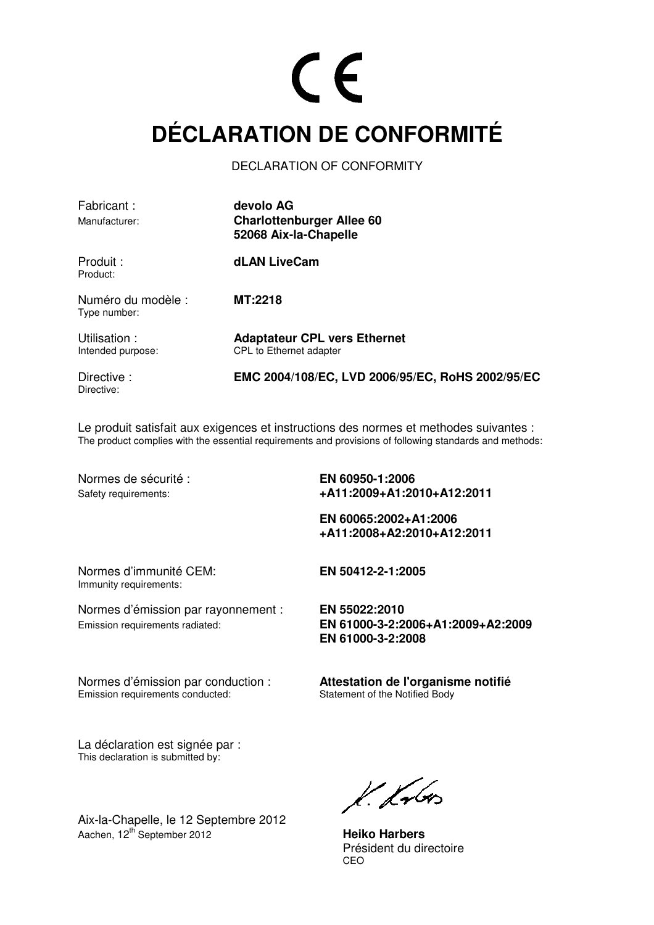### **DÉCLARATION DE CONFORMITÉ**

DECLARATION OF CONFORMITY

| Fabricant:<br>Manufacturer:        | devolo AG<br><b>Charlottenburger Allee 60</b><br>52068 Aix-la-Chapelle |
|------------------------------------|------------------------------------------------------------------------|
| Produit :<br>Product:              | <b>dLAN LiveCam</b>                                                    |
| Numéro du modèle :<br>Type number: | MT:2218                                                                |
| Utilisation:<br>Intended purpose:  | <b>Adaptateur CPL vers Ethernet</b><br>CPL to Ethernet adapter         |
| Directive:<br>Directive:           | EMC 2004/108/EC, LVD 2006/95/EC, RoHS 2002/95/EC                       |

Le produit satisfait aux exigences et instructions des normes et methodes suivantes : The product complies with the essential requirements and provisions of following standards and methods:

Normes de sécurité : **EN 60950-1:2006** 

Safety requirements: **+A11:2009+A1:2010+A12:2011** 

 **EN 60065:2002+A1:2006 +A11:2008+A2:2010+A12:2011** 

Normes d'immunité CEM: **EN 50412-2-1:2005**  Immunity requirements:

Normes d'émission par rayonnement : **EN 55022:2010** Emission requirements radiated: **EN 61000-3-2:2006+A1:2009+A2:2009 EN 61000-3-2:2008** 

Normes d'émission par conduction : **Attestation de l'organisme notifié**  Emission requirements conducted:

La déclaration est signée par : This declaration is submitted by:

Aix-la-Chapelle, le 12 Septembre 2012 Aachen, 12<sup>th</sup> September 2012 **Heiko Harbers** 

 $k$  knows

 Président du directoire <u>CEO de la contrada de la contrada de la contrada de la contrada de la contrada de la contrada de la con</u>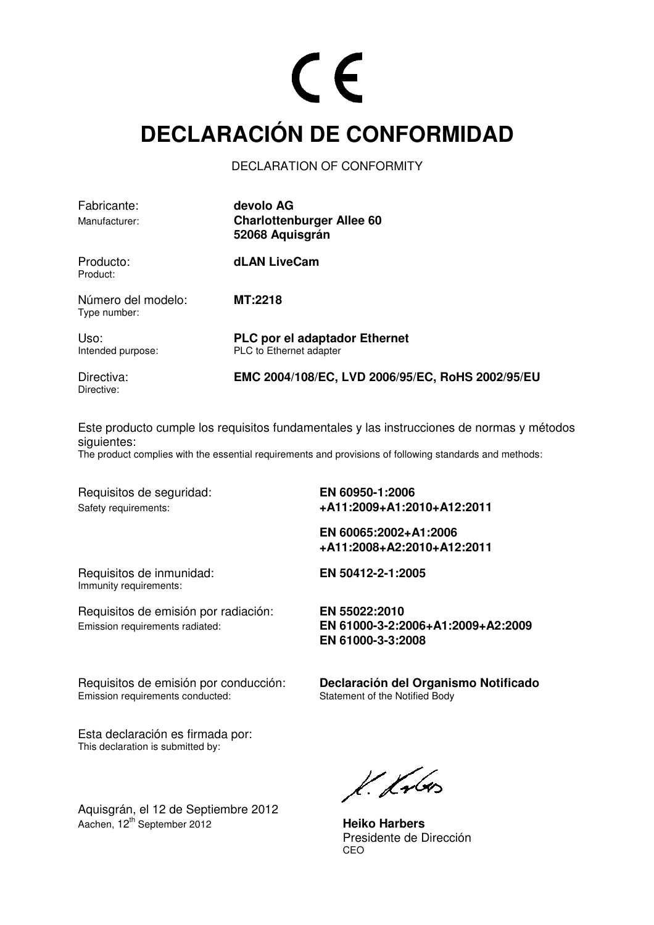#### **DECLARACIÓN DE CONFORMIDAD**

DECLARATION OF CONFORMITY

| Fabricante:<br>Manufacturer:       | devolo AG<br><b>Charlottenburger Allee 60</b><br>52068 Aquisgrán |
|------------------------------------|------------------------------------------------------------------|
| Producto:<br>Product:              | <b>dLAN LiveCam</b>                                              |
| Número del modelo:<br>Type number: | MT:2218                                                          |
| Uso:<br>Intended purpose:          | <b>PLC por el adaptador Ethernet</b><br>PLC to Ethernet adapter  |
| Directiva:<br>Directive:           | EMC 2004/108/EC, LVD 2006/95/EC, RoHS 2002/95/EU                 |

Este producto cumple los requisitos fundamentales y las instrucciones de normas y métodos siguientes:

The product complies with the essential requirements and provisions of following standards and methods:

Requisitos de seguridad: **EN 60950-1:2006** 

Safety requirements: **+A11:2009+A1:2010+A12:2011** 

 **EN 60065:2002+A1:2006 +A11:2008+A2:2010+A12:2011** 

Requisitos de inmunidad: **EN 50412-2-1:2005**  Immunity requirements:

Requisitos de emisión por radiación: **EN 55022:2010**

Emission requirements radiated: **EN 61000-3-2:2006+A1:2009+A2:2009 EN 61000-3-3:2008** 

Requisitos de emisión por conducción: **Declaración del Organismo Notificado**  Emission requirements conducted:

Esta declaración es firmada por: This declaration is submitted by:

Aquisgrán, el 12 de Septiembre 2012 Aachen, 12th September 2012 **Heiko Harbers**

 $k$  kolos

 Presidente de Dirección <u>CEO de la contrada de la contrada de la contrada de la contrada de la contrada de la contrada de la con</u>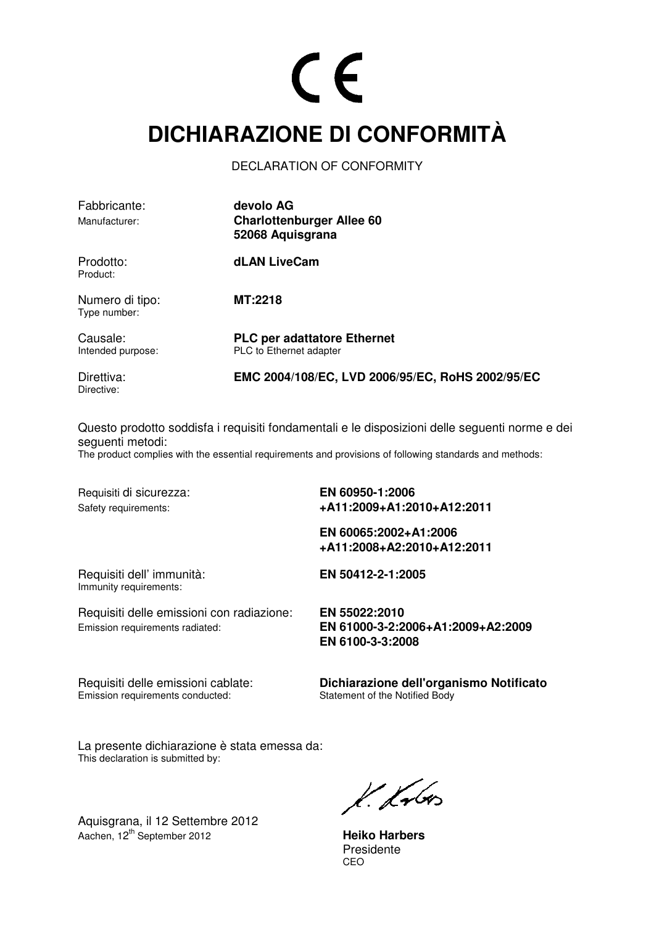#### **DICHIARAZIONE DI CONFORMITÀ**

DECLARATION OF CONFORMITY

| Fabbricante:<br>Manufacturer:   | devolo AG<br><b>Charlottenburger Allee 60</b><br>52068 Aquisgrana |
|---------------------------------|-------------------------------------------------------------------|
| Prodotto:<br>Product:           | dLAN LiveCam                                                      |
| Numero di tipo:<br>Type number: | <b>MT:2218</b>                                                    |
| Causale:<br>Intended purpose:   | <b>PLC per adattatore Ethernet</b><br>PLC to Ethernet adapter     |
| Direttiva:<br>Directive:        | EMC 2004/108/EC, LVD 2006/95/EC, RoHS 2002/95/EC                  |

Questo prodotto soddisfa i requisiti fondamentali e le disposizioni delle seguenti norme e dei seguenti metodi:

The product complies with the essential requirements and provisions of following standards and methods:

Requisiti di sicurezza: **EN 60950-1:2006** 

Safety requirements: **+A11:2009+A1:2010+A12:2011** 

 **EN 60065:2002+A1:2006 +A11:2008+A2:2010+A12:2011** 

Requisiti dell' immunità: **EN 50412-2-1:2005**  Immunity requirements:

Requisiti delle emissioni con radiazione: **EN 55022:2010** Emission requirements radiated: **EN 61000-3-2:2006+A1:2009+A2:2009** 

 **EN 6100-3-3:2008** 

Emission requirements conducted:

Requisiti delle emissioni cablate: **Dichiarazione dell'organismo Notificato** 

La presente dichiarazione è stata emessa da: This declaration is submitted by:

Aquisgrana, il 12 Settembre 2012 Aachen, 12<sup>th</sup> September 2012 **Heiko Harbers** 

 $k$  krbs

Presidente<br>CEO <u>CEO de la contrada de la contrada de la contrada de la contrada de la contrada de la contrada de la con</u>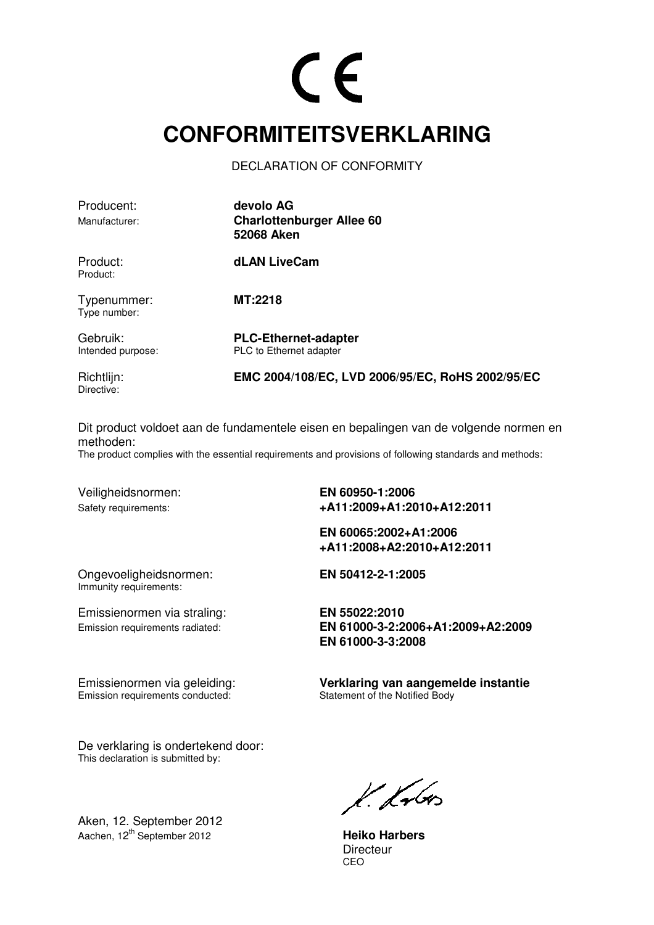#### **CONFORMITEITSVERKLARING**

DECLARATION OF CONFORMITY

| Producent:<br>Manufacturer:   | devolo AG<br><b>Charlottenburger Allee 60</b><br><b>52068 Aken</b> |
|-------------------------------|--------------------------------------------------------------------|
| Product:<br>Product:          | dLAN LiveCam                                                       |
| Typenummer:<br>Type number:   | MT:2218                                                            |
| Gebruik:<br>Intended purpose: | <b>PLC-Ethernet-adapter</b><br>PLC to Ethernet adapter             |
| Richtlijn:<br>Directive:      | EMC 2004/108/EC, LVD 2006/95/EC, RoHS 2002/95/EC                   |

Dit product voldoet aan de fundamentele eisen en bepalingen van de volgende normen en methoden:

The product complies with the essential requirements and provisions of following standards and methods:

Veiligheidsnormen: **EN 60950-1:2006** 

Safety requirements: **+A11:2009+A1:2010+A12:2011** 

 **EN 60065:2002+A1:2006 +A11:2008+A2:2010+A12:2011** 

Ongevoeligheidsnormen: **EN 50412-2-1:2005**  Immunity requirements:

Emissienormen via straling: **EN 55022:2010**

Emission requirements conducted:

Emission requirements radiated: **EN 61000-3-2:2006+A1:2009+A2:2009 EN 61000-3-3:2008** 

Emissienormen via geleiding: **Verklaring van aangemelde instantie** 

De verklaring is ondertekend door: This declaration is submitted by:

Aken, 12. September 2012 Aachen, 12<sup>th</sup> September 2012 **Heiko Harbers** 

 $k$  krbs

Directeur<br>CEO <u>CEO de la contrada de la contrada de la contrada de la contrada de la contrada de la contrada de la con</u>